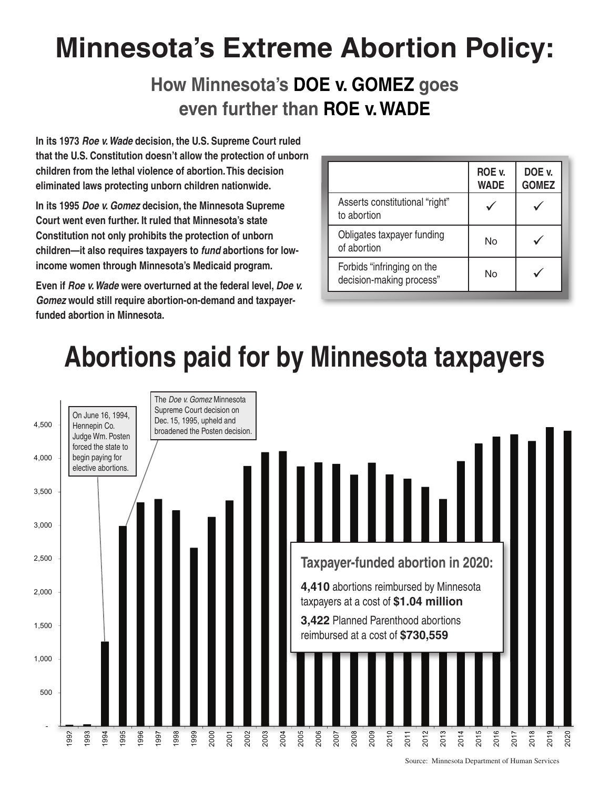# **Minnesota's Extreme Abortion Policy:**

### **How Minnesota's DOE v. GOMEZ goes even further than ROE v. WADE**

**In its 1973** *Roe v. Wade* **decision, the U.S. Supreme Court ruled that the U.S. Constitution doesn't allow the protection of unborn children from the lethal violence of abortion. This decision eliminated laws protecting unborn children nationwide.** 

**In its 1995** *Doe v. Gomez* **decision, the Minnesota Supreme Court went even further. It ruled that Minnesota's state Constitution not only prohibits the protection of unborn children—it also requires taxpayers to** *fund* **abortions for lowincome women through Minnesota's Medicaid program.**

**Even if** *Roe v. Wade* **were overturned at the federal level,** *Doe v. Gomez* **would still require abortion-on-demand and taxpayerfunded abortion in Minnesota.**

|                                                        | ROE v.<br><b>WADE</b> | DOE v.<br><b>GOMEZ</b> |
|--------------------------------------------------------|-----------------------|------------------------|
| Asserts constitutional "right"<br>to abortion          |                       |                        |
| Obligates taxpayer funding<br>of abortion              | N٥                    |                        |
| Forbids "infringing on the<br>decision-making process" | No                    |                        |



Source: Minnesota Department of Human Services